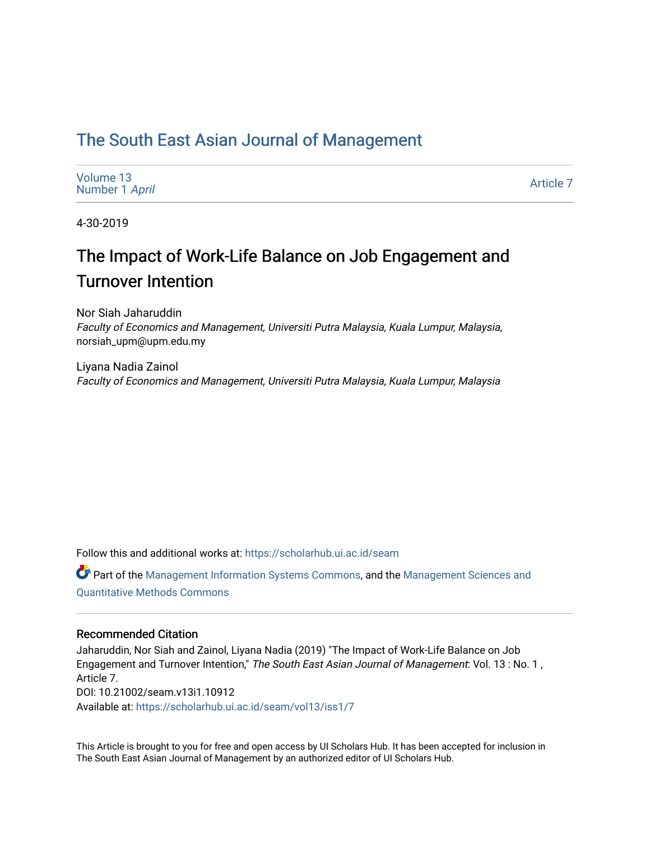### [The South East Asian Journal of Management](https://scholarhub.ui.ac.id/seam)

| Volume 13      |  |
|----------------|--|
| Number 1 April |  |

[Article 7](https://scholarhub.ui.ac.id/seam/vol13/iss1/7) 

4-30-2019

## The Impact of Work-Life Balance on Job Engagement and Turnover Intention

Nor Siah Jaharuddin Faculty of Economics and Management, Universiti Putra Malaysia, Kuala Lumpur, Malaysia, norsiah\_upm@upm.edu.my

Liyana Nadia Zainol Faculty of Economics and Management, Universiti Putra Malaysia, Kuala Lumpur, Malaysia

Follow this and additional works at: [https://scholarhub.ui.ac.id/seam](https://scholarhub.ui.ac.id/seam?utm_source=scholarhub.ui.ac.id%2Fseam%2Fvol13%2Fiss1%2F7&utm_medium=PDF&utm_campaign=PDFCoverPages) 

Part of the [Management Information Systems Commons,](http://network.bepress.com/hgg/discipline/636?utm_source=scholarhub.ui.ac.id%2Fseam%2Fvol13%2Fiss1%2F7&utm_medium=PDF&utm_campaign=PDFCoverPages) and the [Management Sciences and](http://network.bepress.com/hgg/discipline/637?utm_source=scholarhub.ui.ac.id%2Fseam%2Fvol13%2Fiss1%2F7&utm_medium=PDF&utm_campaign=PDFCoverPages) [Quantitative Methods Commons](http://network.bepress.com/hgg/discipline/637?utm_source=scholarhub.ui.ac.id%2Fseam%2Fvol13%2Fiss1%2F7&utm_medium=PDF&utm_campaign=PDFCoverPages) 

#### Recommended Citation

Jaharuddin, Nor Siah and Zainol, Liyana Nadia (2019) "The Impact of Work-Life Balance on Job Engagement and Turnover Intention," The South East Asian Journal of Management: Vol. 13 : No. 1, Article 7. DOI: 10.21002/seam.v13i1.10912 Available at: [https://scholarhub.ui.ac.id/seam/vol13/iss1/7](https://scholarhub.ui.ac.id/seam/vol13/iss1/7?utm_source=scholarhub.ui.ac.id%2Fseam%2Fvol13%2Fiss1%2F7&utm_medium=PDF&utm_campaign=PDFCoverPages) 

This Article is brought to you for free and open access by UI Scholars Hub. It has been accepted for inclusion in The South East Asian Journal of Management by an authorized editor of UI Scholars Hub.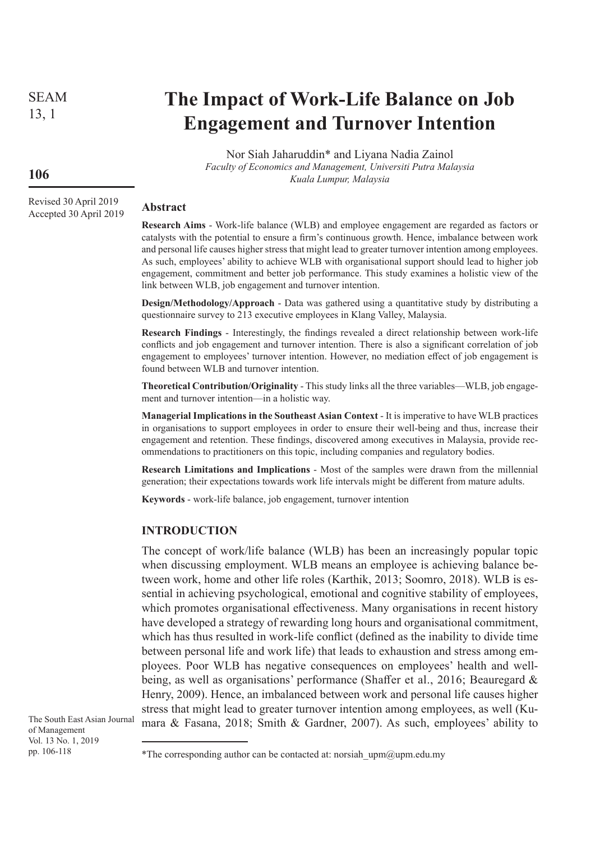SEAM 13, 1

# **The Impact of Work-Life Balance on Job Engagement and Turnover Intention**

Nor Siah Jaharuddin\* and Liyana Nadia Zainol *Faculty of Economics and Management, Universiti Putra Malaysia Kuala Lumpur, Malaysia*

#### **Abstract**

**Research Aims** - Work-life balance (WLB) and employee engagement are regarded as factors or catalysts with the potential to ensure a firm's continuous growth. Hence, imbalance between work and personal life causes higher stress that might lead to greater turnover intention among employees. As such, employees' ability to achieve WLB with organisational support should lead to higher job engagement, commitment and better job performance. This study examines a holistic view of the link between WLB, job engagement and turnover intention.

**Design/Methodology/Approach** - Data was gathered using a quantitative study by distributing a questionnaire survey to 213 executive employees in Klang Valley, Malaysia.

**Research Findings** - Interestingly, the findings revealed a direct relationship between work-life conflicts and job engagement and turnover intention. There is also a significant correlation of job engagement to employees' turnover intention. However, no mediation effect of job engagement is found between WLB and turnover intention.

**Theoretical Contribution/Originality** - This study links all the three variables—WLB, job engagement and turnover intention—in a holistic way.

**Managerial Implications in the Southeast Asian Context** - It is imperative to have WLB practices in organisations to support employees in order to ensure their well-being and thus, increase their engagement and retention. These findings, discovered among executives in Malaysia, provide recommendations to practitioners on this topic, including companies and regulatory bodies.

**Research Limitations and Implications** - Most of the samples were drawn from the millennial generation; their expectations towards work life intervals might be different from mature adults.

**Keywords** - work-life balance, job engagement, turnover intention

#### **INTRODUCTION**

The concept of work/life balance (WLB) has been an increasingly popular topic when discussing employment. WLB means an employee is achieving balance between work, home and other life roles (Karthik, 2013; Soomro, 2018). WLB is essential in achieving psychological, emotional and cognitive stability of employees, which promotes organisational effectiveness. Many organisations in recent history have developed a strategy of rewarding long hours and organisational commitment, which has thus resulted in work-life conflict (defined as the inability to divide time between personal life and work life) that leads to exhaustion and stress among employees. Poor WLB has negative consequences on employees' health and wellbeing, as well as organisations' performance (Shaffer et al., 2016; Beauregard & Henry, 2009). Hence, an imbalanced between work and personal life causes higher stress that might lead to greater turnover intention among employees, as well (Kumara & Fasana, 2018; Smith & Gardner, 2007). As such, employees' ability to

The South East Asian Journal of Management Vol. 13 No. 1, 2019 pp. 106-118

### **106**

Revised 30 April 2019 Accepted 30 April 2019

<sup>\*</sup>The corresponding author can be contacted at: norsiah\_upm@upm.edu.my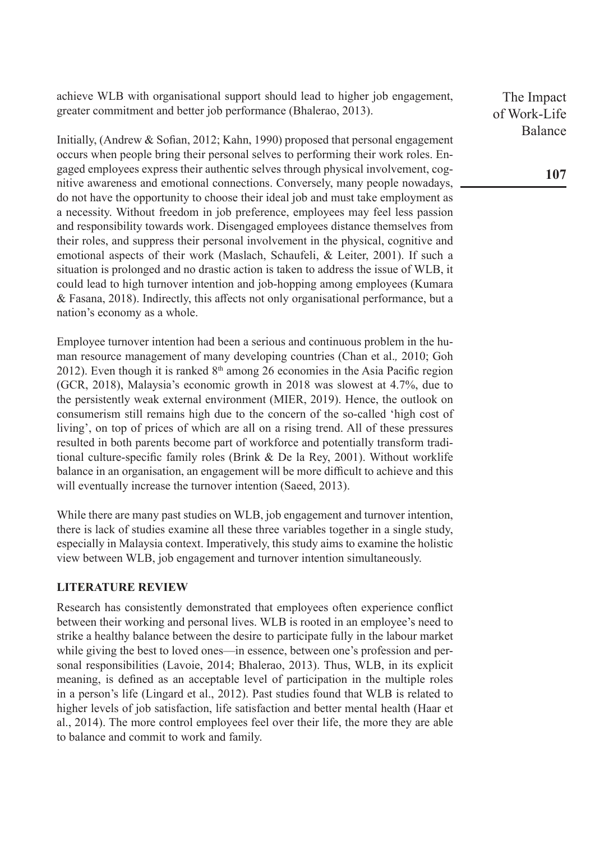achieve WLB with organisational support should lead to higher job engagement, greater commitment and better job performance (Bhalerao, 2013).

Initially, (Andrew & Sofian, 2012; Kahn, 1990) proposed that personal engagement occurs when people bring their personal selves to performing their work roles. Engaged employees express their authentic selves through physical involvement, cognitive awareness and emotional connections. Conversely, many people nowadays, do not have the opportunity to choose their ideal job and must take employment as a necessity. Without freedom in job preference, employees may feel less passion and responsibility towards work. Disengaged employees distance themselves from their roles, and suppress their personal involvement in the physical, cognitive and emotional aspects of their work (Maslach, Schaufeli, & Leiter, 2001). If such a situation is prolonged and no drastic action is taken to address the issue of WLB, it could lead to high turnover intention and job-hopping among employees (Kumara & Fasana, 2018). Indirectly, this affects not only organisational performance, but a nation's economy as a whole.

Employee turnover intention had been a serious and continuous problem in the human resource management of many developing countries (Chan et al.*,* 2010; Goh 2012). Even though it is ranked  $8<sup>th</sup>$  among 26 economies in the Asia Pacific region (GCR, 2018), Malaysia's economic growth in 2018 was slowest at 4.7%, due to the persistently weak external environment (MIER, 2019). Hence, the outlook on consumerism still remains high due to the concern of the so-called 'high cost of living', on top of prices of which are all on a rising trend. All of these pressures resulted in both parents become part of workforce and potentially transform traditional culture-specific family roles (Brink & De la Rey, 2001). Without worklife balance in an organisation, an engagement will be more difficult to achieve and this will eventually increase the turnover intention (Saeed, 2013).

While there are many past studies on WLB, job engagement and turnover intention, there is lack of studies examine all these three variables together in a single study, especially in Malaysia context. Imperatively, this study aims to examine the holistic view between WLB, job engagement and turnover intention simultaneously.

#### **LITERATURE REVIEW**

Research has consistently demonstrated that employees often experience conflict between their working and personal lives. WLB is rooted in an employee's need to strike a healthy balance between the desire to participate fully in the labour market while giving the best to loved ones—in essence, between one's profession and personal responsibilities (Lavoie, 2014; Bhalerao, 2013). Thus, WLB, in its explicit meaning, is defined as an acceptable level of participation in the multiple roles in a person's life (Lingard et al., 2012). Past studies found that WLB is related to higher levels of job satisfaction, life satisfaction and better mental health (Haar et al., 2014). The more control employees feel over their life, the more they are able to balance and commit to work and family.

The Impact of Work-Life Balance

**107**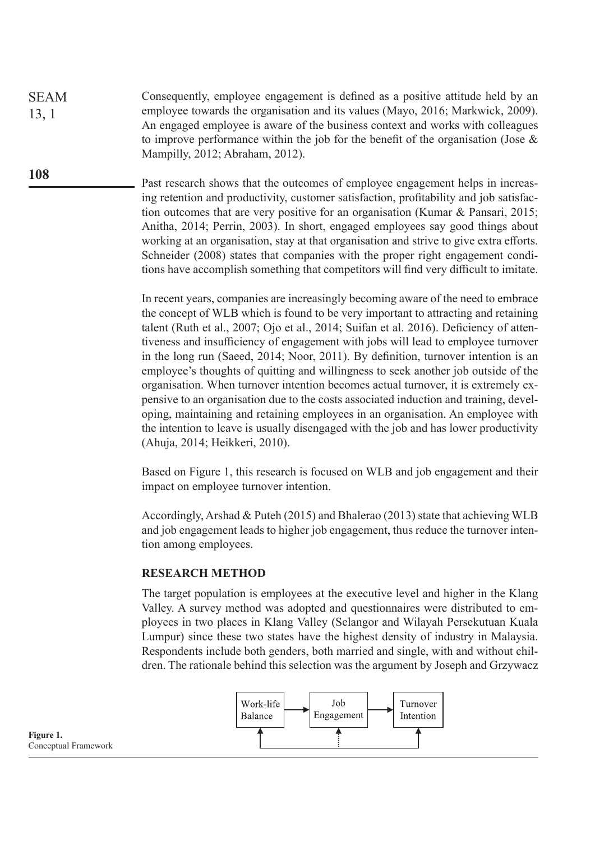Consequently, employee engagement is defined as a positive attitude held by an employee towards the organisation and its values (Mayo, 2016; Markwick, 2009). An engaged employee is aware of the business context and works with colleagues to improve performance within the job for the benefit of the organisation (Jose & Mampilly, 2012; Abraham, 2012). SEAM 13, 1

> Past research shows that the outcomes of employee engagement helps in increasing retention and productivity, customer satisfaction, profitability and job satisfaction outcomes that are very positive for an organisation (Kumar & Pansari, 2015; Anitha, 2014; Perrin, 2003). In short, engaged employees say good things about working at an organisation, stay at that organisation and strive to give extra efforts. Schneider (2008) states that companies with the proper right engagement conditions have accomplish something that competitors will find very difficult to imitate.

In recent years, companies are increasingly becoming aware of the need to embrace the concept of WLB which is found to be very important to attracting and retaining talent (Ruth et al., 2007; Ojo et al., 2014; Suifan et al. 2016). Deficiency of attentiveness and insufficiency of engagement with jobs will lead to employee turnover in the long run (Saeed, 2014; Noor, 2011). By definition, turnover intention is an employee's thoughts of quitting and willingness to seek another job outside of the organisation. When turnover intention becomes actual turnover, it is extremely expensive to an organisation due to the costs associated induction and training, developing, maintaining and retaining employees in an organisation. An employee with the intention to leave is usually disengaged with the job and has lower productivity (Ahuja, 2014; Heikkeri, 2010).

Based on Figure 1, this research is focused on WLB and job engagement and their impact on employee turnover intention.

Accordingly, Arshad & Puteh (2015) and Bhalerao (2013) state that achieving WLB and job engagement leads to higher job engagement, thus reduce the turnover intention among employees.

#### **RESEARCH METHOD**

The target population is employees at the executive level and higher in the Klang Valley. A survey method was adopted and questionnaires were distributed to employees in two places in Klang Valley (Selangor and Wilayah Persekutuan Kuala Lumpur) since these two states have the highest density of industry in Malaysia. Respondents include both genders, both married and single, with and without children. The rationale behind this selection was the argument by Joseph and Grzywacz



**Figure 1.** Conceptual Framework

**108**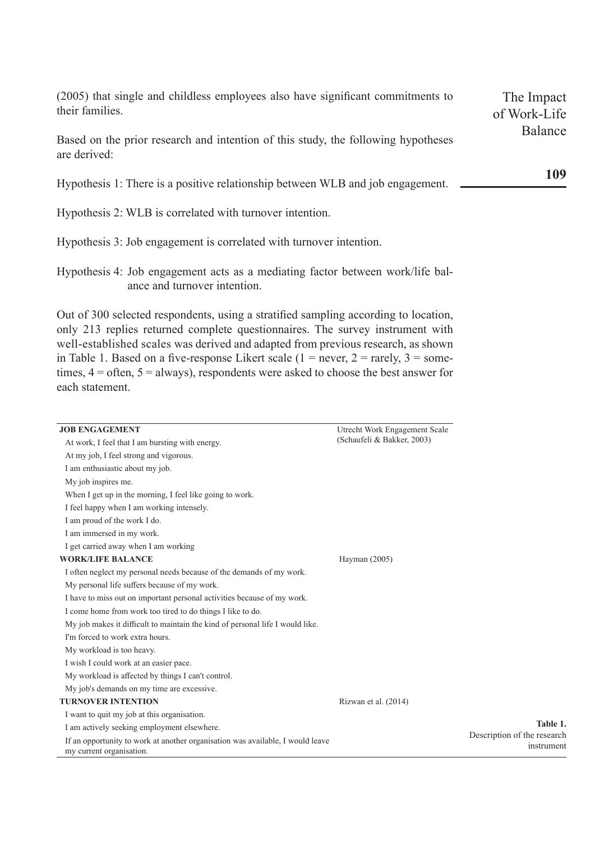| (2005) that single and childless employees also have significant commitments to<br>their families. | The Impact              |
|----------------------------------------------------------------------------------------------------|-------------------------|
|                                                                                                    | of Work-Life<br>Balance |
| Based on the prior research and intention of this study, the following hypotheses<br>are derived:  |                         |
| Hypothesis 1: There is a positive relationship between WLB and job engagement.                     | 109                     |
| Hypothesis 2: WLB is correlated with turnover intention.                                           |                         |

- Hypothesis 3: Job engagement is correlated with turnover intention.
- Hypothesis 4: Job engagement acts as a mediating factor between work/life balance and turnover intention.

Out of 300 selected respondents, using a stratified sampling according to location, only 213 replies returned complete questionnaires. The survey instrument with well-established scales was derived and adapted from previous research, as shown in Table 1. Based on a five-response Likert scale  $(1 = never, 2 = rarely, 3 = some$ times, 4 = often, 5 = always), respondents were asked to choose the best answer for each statement.

| <b>JOB ENGAGEMENT</b>                                                                                      | Utrecht Work Engagement Scale |                                           |
|------------------------------------------------------------------------------------------------------------|-------------------------------|-------------------------------------------|
| At work, I feel that I am bursting with energy.                                                            | (Schaufeli & Bakker, 2003)    |                                           |
| At my job, I feel strong and vigorous.                                                                     |                               |                                           |
| I am enthusiastic about my job.                                                                            |                               |                                           |
| My job inspires me.                                                                                        |                               |                                           |
| When I get up in the morning, I feel like going to work.                                                   |                               |                                           |
| I feel happy when I am working intensely.                                                                  |                               |                                           |
| I am proud of the work I do.                                                                               |                               |                                           |
| I am immersed in my work.                                                                                  |                               |                                           |
| I get carried away when I am working                                                                       |                               |                                           |
| <b>WORK/LIFE BALANCE</b>                                                                                   | Hayman (2005)                 |                                           |
| I often neglect my personal needs because of the demands of my work.                                       |                               |                                           |
| My personal life suffers because of my work.                                                               |                               |                                           |
| I have to miss out on important personal activities because of my work.                                    |                               |                                           |
| I come home from work too tired to do things I like to do.                                                 |                               |                                           |
| My job makes it difficult to maintain the kind of personal life I would like.                              |                               |                                           |
| I'm forced to work extra hours.                                                                            |                               |                                           |
| My workload is too heavy.                                                                                  |                               |                                           |
| I wish I could work at an easier pace.                                                                     |                               |                                           |
| My workload is affected by things I can't control.                                                         |                               |                                           |
| My job's demands on my time are excessive.                                                                 |                               |                                           |
| <b>TURNOVER INTENTION</b>                                                                                  | Rizwan et al. (2014)          |                                           |
| I want to quit my job at this organisation.                                                                |                               |                                           |
| I am actively seeking employment elsewhere.                                                                |                               | Table 1.                                  |
| If an opportunity to work at another organisation was available, I would leave<br>my current organisation. |                               | Description of the research<br>instrument |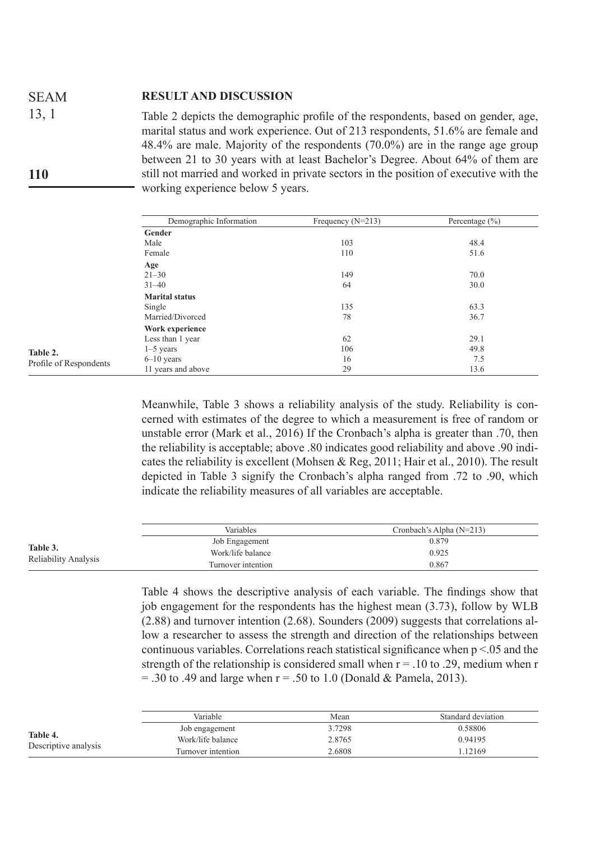#### **RESULT AND DISCUSSION**  SEAM

Table 2 depicts the demographic profile of the respondents, based on gender, age, marital status and work experience. Out of 213 respondents, 51.6% are female and 48.4% are male. Majority of the respondents (70.0%) are in the range age group between 21 to 30 years with at least Bachelor's Degree. About 64% of them are still not married and worked in private sectors in the position of executive with the working experience below 5 years. 13, 1 **110**

|                        | Demographic Information | Frequency $(N=213)$ | Percentage $(\% )$ |
|------------------------|-------------------------|---------------------|--------------------|
|                        | Gender                  |                     |                    |
|                        | Male                    | 103                 | 48.4               |
|                        | Female                  | 110                 | 51.6               |
|                        | Age                     |                     |                    |
|                        | $21 - 30$               | 149                 | 70.0               |
|                        | $31 - 40$               | 64                  | 30.0               |
|                        | <b>Marital status</b>   |                     |                    |
|                        | Single                  | 135                 | 63.3               |
|                        | Married/Divorced        | 78                  | 36.7               |
|                        | Work experience         |                     |                    |
|                        | Less than 1 year        | 62                  | 29.1               |
| Table 2.               | $1-5$ years             | 106                 | 49.8               |
| Profile of Respondents | $6-10$ years            | 16                  | 7.5                |
|                        | 11 years and above      | 29                  | 13.6               |

Meanwhile, Table 3 shows a reliability analysis of the study. Reliability is concerned with estimates of the degree to which a measurement is free of random or unstable error (Mark et al., 2016) If the Cronbach's alpha is greater than .70, then the reliability is acceptable; above .80 indicates good reliability and above .90 indicates the reliability is excellent (Mohsen & Reg, 2011; Hair et al., 2010). The result depicted in Table 3 signify the Cronbach's alpha ranged from .72 to .90, which indicate the reliability measures of all variables are acceptable.

|                                  | <b>Variables</b>   | Cronbach's Alpha $(N=213)$ |
|----------------------------------|--------------------|----------------------------|
| Table 3.<br>Reliability Analysis | Job Engagement     | 0.879                      |
|                                  | Work/life balance  | 0.925                      |
|                                  | Turnover intention | 0.867                      |

Table 4 shows the descriptive analysis of each variable. The findings show that job engagement for the respondents has the highest mean (3.73), follow by WLB (2.88) and turnover intention (2.68). Sounders (2009) suggests that correlations allow a researcher to assess the strength and direction of the relationships between continuous variables. Correlations reach statistical significance when  $p < 0.05$  and the strength of the relationship is considered small when  $r = .10$  to .29, medium when r  $=$  .30 to .49 and large when  $r = .50$  to 1.0 (Donald & Pamela, 2013).

|                                  | Variable           | Mean   | Standard deviation |
|----------------------------------|--------------------|--------|--------------------|
| Table 4.<br>Descriptive analysis | Job engagement     | 3.7298 | 0.58806            |
|                                  | Work/life balance  | 2.8765 | 0.94195            |
|                                  | Turnover intention | 2.6808 | 1.12169            |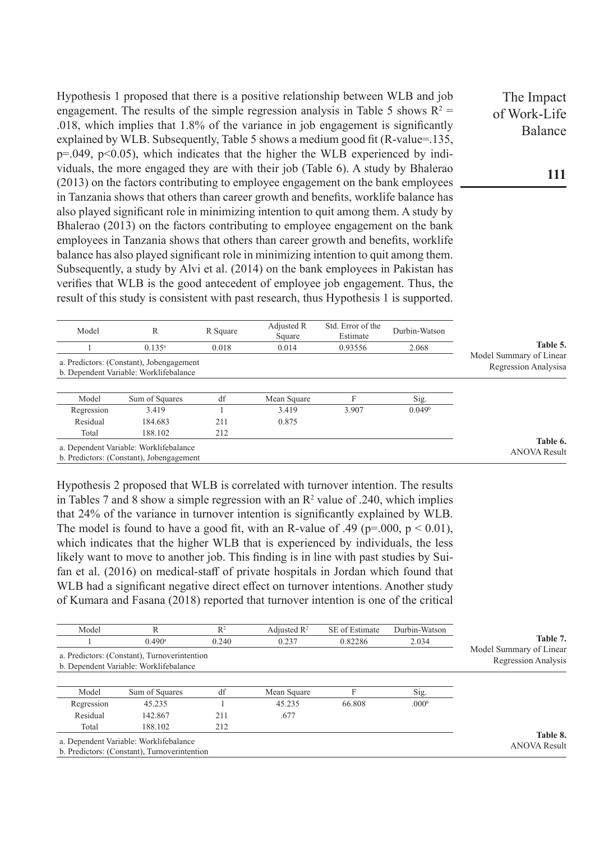Hypothesis 1 proposed that there is a positive relationship between WLB and job engagement. The results of the simple regression analysis in Table 5 shows  $R^2 =$ .018, which implies that 1.8% of the variance in job engagement is significantly explained by WLB. Subsequently, Table 5 shows a medium good fit (R-value=.135,  $p=0.049$ ,  $p<0.05$ ), which indicates that the higher the WLB experienced by individuals, the more engaged they are with their job (Table 6). A study by Bhalerao (2013) on the factors contributing to employee engagement on the bank employees in Tanzania shows that others than career growth and benefits, worklife balance has also played significant role in minimizing intention to quit among them. A study by Bhalerao (2013) on the factors contributing to employee engagement on the bank employees in Tanzania shows that others than career growth and benefits, worklife balance has also played significant role in minimizing intention to quit among them. Subsequently, a study by Alvi et al. (2014) on the bank employees in Pakistan has verifies that WLB is the good antecedent of employee job engagement. Thus, the result of this study is consistent with past research, thus Hypothesis 1 is supported.

| Model      | R                                                                                  | R Square | Adjusted R<br>Square | Std. Error of the<br>Estimate | Durbin-Watson      |                                                 |
|------------|------------------------------------------------------------------------------------|----------|----------------------|-------------------------------|--------------------|-------------------------------------------------|
|            | $0.135^{\rm a}$                                                                    | 0.018    | 0.014                | 0.93556                       | 2.068              | Table 5.                                        |
|            | a. Predictors: (Constant), Jobengagement<br>b. Dependent Variable: Worklifebalance |          |                      |                               |                    | Model Summary of Linear<br>Regression Analysisa |
| Model      | Sum of Squares                                                                     | df       | Mean Square          |                               | Sig.               |                                                 |
| Regression | 3.419                                                                              |          | 3.419                | 3.907                         | 0.049 <sup>b</sup> |                                                 |
| Residual   | 184.683                                                                            | 211      | 0.875                |                               |                    |                                                 |
| Total      | 188.102                                                                            | 212      |                      |                               |                    |                                                 |
|            | a. Dependent Variable: Worklifebalance                                             |          |                      |                               |                    | Table 6.<br>$\triangle N\cap VA$ Result         |

b. Predictors: (Constant), Jobengagement

Hypothesis 2 proposed that WLB is correlated with turnover intention. The results in Tables 7 and 8 show a simple regression with an  $\mathbb{R}^2$  value of .240, which implies that 24% of the variance in turnover intention is significantly explained by WLB. The model is found to have a good fit, with an R-value of .49 ( $p=0.00$ ,  $p < 0.01$ ), which indicates that the higher WLB that is experienced by individuals, the less likely want to move to another job. This finding is in line with past studies by Suifan et al. (2016) on medical-staff of private hospitals in Jordan which found that WLB had a significant negative direct effect on turnover intentions. Another study of Kumara and Fasana (2018) reported that turnover intention is one of the critical

| Model      | R                                                                                      | $R^2$ | Adjusted $\mathbb{R}^2$ | SE of Estimate | Durbin-Watson     |                                                |
|------------|----------------------------------------------------------------------------------------|-------|-------------------------|----------------|-------------------|------------------------------------------------|
|            | $0.490$ <sup>a</sup>                                                                   | 0.240 | 0.237                   | 0.82286        | 2.034             | Table 7.                                       |
|            | a. Predictors: (Constant), Turnoverintention                                           |       |                         |                |                   | Model Summary of Linear<br>Regression Analysis |
|            | b. Dependent Variable: Worklifebalance                                                 |       |                         |                |                   |                                                |
| Model      | Sum of Squares                                                                         | df    | Mean Square             |                | Sig.              |                                                |
| Regression | 45.235                                                                                 |       | 45.235                  | 66.808         | .000 <sup>b</sup> |                                                |
| Residual   | 142.867                                                                                | 211   | .677                    |                |                   |                                                |
| Total      | 188.102                                                                                | 212   |                         |                |                   |                                                |
|            | a. Dependent Variable: Worklifebalance<br>b. Predictors: (Constant), Turnoverintention |       |                         |                |                   | Table 8.<br><b>ANOVA Result</b>                |

The Impact of Work-Life Balance

**111**

ANOVA Result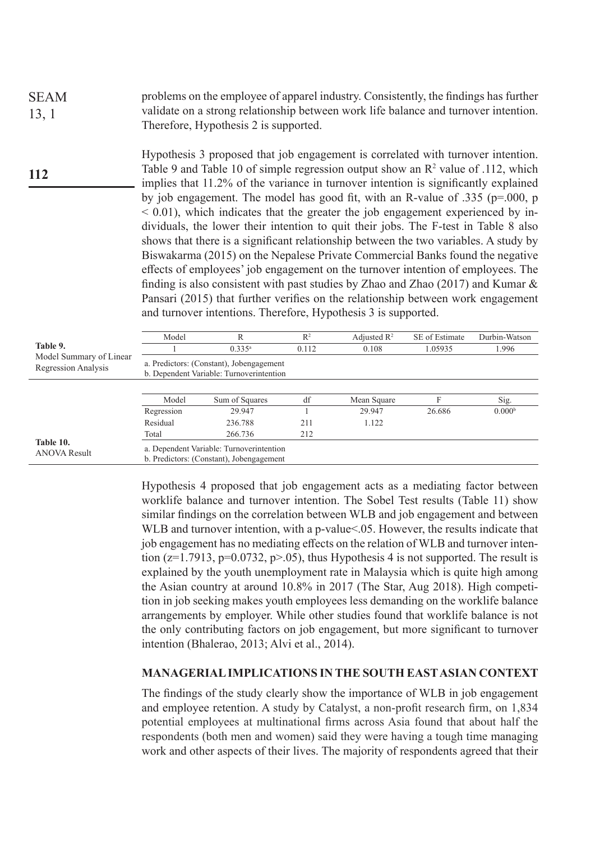problems on the employee of apparel industry. Consistently, the findings has further validate on a strong relationship between work life balance and turnover intention. Therefore, Hypothesis 2 is supported. SEAM 13, 1

Hypothesis 3 proposed that job engagement is correlated with turnover intention. Table 9 and Table 10 of simple regression output show an  $\mathbb{R}^2$  value of .112, which implies that 11.2% of the variance in turnover intention is significantly explained by job engagement. The model has good fit, with an R-value of .335 (p=.000, p  $< 0.01$ ), which indicates that the greater the job engagement experienced by individuals, the lower their intention to quit their jobs. The F-test in Table 8 also shows that there is a significant relationship between the two variables. A study by Biswakarma (2015) on the Nepalese Private Commercial Banks found the negative effects of employees' job engagement on the turnover intention of employees. The finding is also consistent with past studies by Zhao and Zhao (2017) and Kumar & Pansari (2015) that further verifies on the relationship between work engagement and turnover intentions. Therefore, Hypothesis 3 is supported. **112**

|                                                | Model                                                                                | R                                                                                    | $\mathbb{R}^2$ | Adjusted $\mathbb{R}^2$ | SE of Estimate | Durbin-Watson      |  |  |
|------------------------------------------------|--------------------------------------------------------------------------------------|--------------------------------------------------------------------------------------|----------------|-------------------------|----------------|--------------------|--|--|
| Table 9.                                       |                                                                                      | $0.335^a$                                                                            | 0.112          | 0.108                   | 1.05935        | 1.996              |  |  |
| Model Summary of Linear<br>Regression Analysis | a. Predictors: (Constant), Jobengagement<br>b. Dependent Variable: Turnoverintention |                                                                                      |                |                         |                |                    |  |  |
|                                                | Model                                                                                | Sum of Squares                                                                       | df             | Mean Square             | F              | Sig.               |  |  |
|                                                | Regression                                                                           | 29.947                                                                               |                | 29.947                  | 26.686         | 0.000 <sup>b</sup> |  |  |
|                                                | Residual                                                                             | 236.788                                                                              | 211            | 1.122                   |                |                    |  |  |
|                                                | Total                                                                                | 266.736                                                                              | 212            |                         |                |                    |  |  |
| Table 10.<br><b>ANOVA Result</b>               |                                                                                      | a. Dependent Variable: Turnoverintention<br>b. Predictors: (Constant), Jobengagement |                |                         |                |                    |  |  |

Hypothesis 4 proposed that job engagement acts as a mediating factor between worklife balance and turnover intention. The Sobel Test results (Table 11) show similar findings on the correlation between WLB and job engagement and between WLB and turnover intention, with a p-value<.05. However, the results indicate that job engagement has no mediating effects on the relation of WLB and turnover intention ( $z=1.7913$ ,  $p=0.0732$ ,  $p>0.05$ ), thus Hypothesis 4 is not supported. The result is explained by the youth unemployment rate in Malaysia which is quite high among the Asian country at around 10.8% in 2017 (The Star, Aug 2018). High competition in job seeking makes youth employees less demanding on the worklife balance arrangements by employer. While other studies found that worklife balance is not the only contributing factors on job engagement, but more significant to turnover intention (Bhalerao, 2013; Alvi et al., 2014).

#### **MANAGERIAL IMPLICATIONS IN THE SOUTH EAST ASIAN CONTEXT**

The findings of the study clearly show the importance of WLB in job engagement and employee retention. A study by Catalyst, a non-profit research firm, on 1,834 potential employees at multinational firms across Asia found that about half the respondents (both men and women) said they were having a tough time managing work and other aspects of their lives. The majority of respondents agreed that their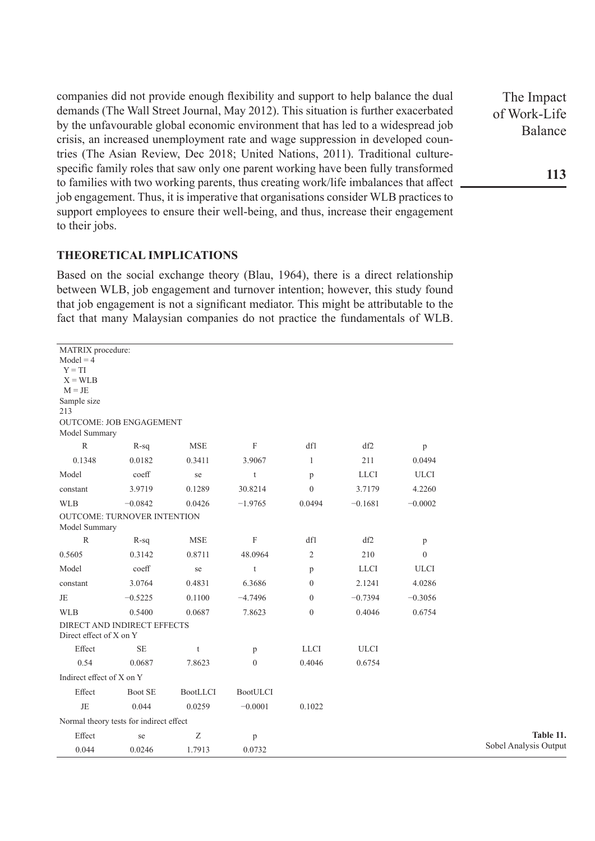companies did not provide enough flexibility and support to help balance the dual demands (The Wall Street Journal, May 2012). This situation is further exacerbated by the unfavourable global economic environment that has led to a widespread job crisis, an increased unemployment rate and wage suppression in developed countries (The Asian Review, Dec 2018; United Nations, 2011). Traditional culturespecific family roles that saw only one parent working have been fully transformed to families with two working parents, thus creating work/life imbalances that affect job engagement. Thus, it is imperative that organisations consider WLB practices to support employees to ensure their well-being, and thus, increase their engagement to their jobs.

#### **THEORETICAL IMPLICATIONS**

Based on the social exchange theory (Blau, 1964), there is a direct relationship between WLB, job engagement and turnover intention; however, this study found that job engagement is not a significant mediator. This might be attributable to the fact that many Malaysian companies do not practice the fundamentals of WLB.

| MATRIX procedure:<br>$Model = 4$<br>$Y = TI$<br>$X = WLB$<br>$M = JE$<br>Sample size<br>213 | OUTCOME: JOB ENGAGEMENT                 |            |                 |                |             |             |  |
|---------------------------------------------------------------------------------------------|-----------------------------------------|------------|-----------------|----------------|-------------|-------------|--|
| Model Summary                                                                               |                                         |            |                 |                |             |             |  |
| $\mathbb{R}$                                                                                | $R-sq$                                  | <b>MSE</b> | F               | df1            | df2         | p           |  |
| 0.1348                                                                                      | 0.0182                                  | 0.3411     | 3.9067          | 1              | 211         | 0.0494      |  |
| Model                                                                                       | coeff                                   | se         | t               | p              | <b>LLCI</b> | <b>ULCI</b> |  |
| constant                                                                                    | 3.9719                                  | 0.1289     | 30.8214         | $\mathbf{0}$   | 3.7179      | 4.2260      |  |
| <b>WLB</b>                                                                                  | $-0.0842$                               | 0.0426     | $-1.9765$       | 0.0494         | $-0.1681$   | $-0.0002$   |  |
| Model Summary                                                                               | OUTCOME: TURNOVER INTENTION             |            |                 |                |             |             |  |
| $\mathbb{R}$                                                                                | $R-sq$                                  | <b>MSE</b> | F               | df1            | df2         | p           |  |
| 0.5605                                                                                      | 0.3142                                  | 0.8711     | 48.0964         | $\overline{2}$ | 210         | $\theta$    |  |
| Model                                                                                       | $\mathrm{coeff}$                        | se         | $\mathbf t$     | p              | <b>LLCI</b> | <b>ULCI</b> |  |
| constant                                                                                    | 3.0764                                  | 0.4831     | 6.3686          | $\theta$       | 2.1241      | 4.0286      |  |
| JE                                                                                          | $-0.5225$                               | 0.1100     | $-4.7496$       | $\theta$       | $-0.7394$   | $-0.3056$   |  |
| <b>WLB</b>                                                                                  | 0.5400                                  | 0.0687     | 7.8623          | $\mathbf{0}$   | 0.4046      | 0.6754      |  |
| Direct effect of X on Y                                                                     | DIRECT AND INDIRECT EFFECTS             |            |                 |                |             |             |  |
| Effect                                                                                      | <b>SE</b>                               | t          | p               | <b>LLCI</b>    | <b>ULCI</b> |             |  |
| 0.54                                                                                        | 0.0687                                  | 7.8623     | $\mathbf{0}$    | 0.4046         | 0.6754      |             |  |
| Indirect effect of X on Y                                                                   |                                         |            |                 |                |             |             |  |
| Effect                                                                                      | Boot SE                                 | BootLLCI   | <b>BootULCI</b> |                |             |             |  |
| JE                                                                                          | 0.044                                   | 0.0259     | $-0.0001$       | 0.1022         |             |             |  |
|                                                                                             | Normal theory tests for indirect effect |            |                 |                |             |             |  |
| Effect                                                                                      | se                                      | Ζ          | p               |                |             |             |  |
| 0.044                                                                                       | 0.0246                                  | 1.7913     | 0.0732          |                |             |             |  |

The Impact of Work-Life Balance

**Table 11.**  Sobel Analysis Output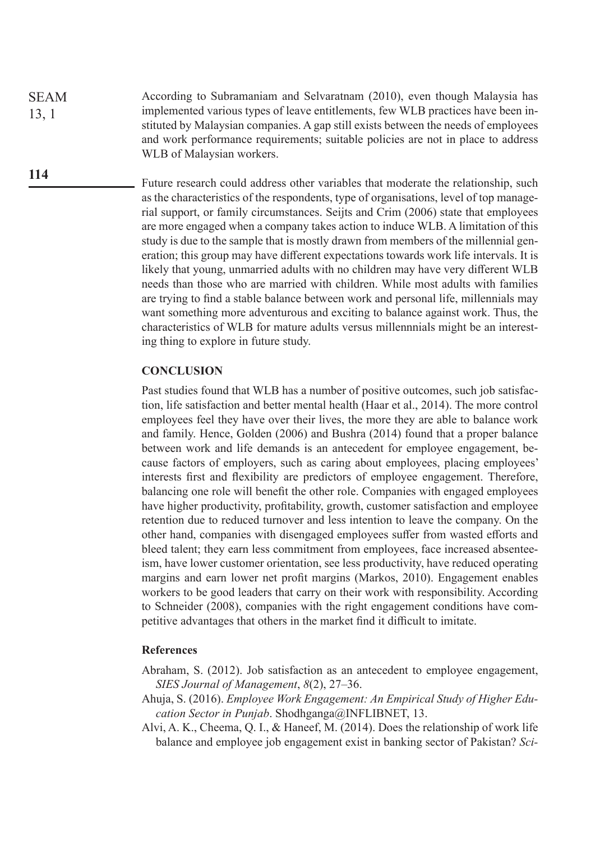According to Subramaniam and Selvaratnam (2010), even though Malaysia has implemented various types of leave entitlements, few WLB practices have been instituted by Malaysian companies. A gap still exists between the needs of employees and work performance requirements; suitable policies are not in place to address WLB of Malaysian workers. SEAM 13, 1

> Future research could address other variables that moderate the relationship, such as the characteristics of the respondents, type of organisations, level of top managerial support, or family circumstances. Seijts and Crim (2006) state that employees are more engaged when a company takes action to induce WLB. A limitation of this study is due to the sample that is mostly drawn from members of the millennial generation; this group may have different expectations towards work life intervals. It is likely that young, unmarried adults with no children may have very different WLB needs than those who are married with children. While most adults with families are trying to find a stable balance between work and personal life, millennials may want something more adventurous and exciting to balance against work. Thus, the characteristics of WLB for mature adults versus millennnials might be an interesting thing to explore in future study.

#### **CONCLUSION**

**114**

Past studies found that WLB has a number of positive outcomes, such job satisfaction, life satisfaction and better mental health (Haar et al., 2014). The more control employees feel they have over their lives, the more they are able to balance work and family. Hence, Golden (2006) and Bushra (2014) found that a proper balance between work and life demands is an antecedent for employee engagement, because factors of employers, such as caring about employees, placing employees' interests first and flexibility are predictors of employee engagement. Therefore, balancing one role will benefit the other role. Companies with engaged employees have higher productivity, profitability, growth, customer satisfaction and employee retention due to reduced turnover and less intention to leave the company. On the other hand, companies with disengaged employees suffer from wasted efforts and bleed talent; they earn less commitment from employees, face increased absenteeism, have lower customer orientation, see less productivity, have reduced operating margins and earn lower net profit margins (Markos, 2010). Engagement enables workers to be good leaders that carry on their work with responsibility. According to Schneider (2008), companies with the right engagement conditions have competitive advantages that others in the market find it difficult to imitate.

#### **References**

- Abraham, S. (2012). Job satisfaction as an antecedent to employee engagement, *SIES Journal of Management*, *8*(2), 27–36.
- Ahuja, S. (2016). *Employee Work Engagement: An Empirical Study of Higher Education Sector in Punjab.* Shodhganga@INFLIBNET, 13.
- Alvi, A. K., Cheema, Q. I., & Haneef, M. (2014). Does the relationship of work life balance and employee job engagement exist in banking sector of Pakistan? *Sci-*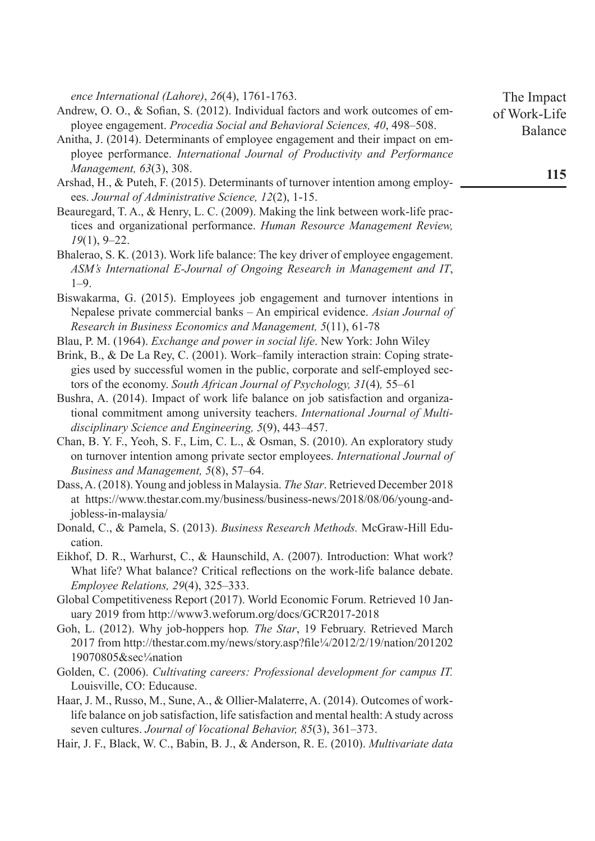*ence International (Lahore)*, *26*(4), 1761-1763.

- Andrew, O. O., & Sofian, S. (2012). Individual factors and work outcomes of employee engagement. *Procedia Social and Behavioral Sciences, 40*, 498–508.
- Anitha, J. (2014). Determinants of employee engagement and their impact on employee performance. *International Journal of Productivity and Performance Management, 63*(3), 308.
- Arshad, H., & Puteh, F. (2015). Determinants of turnover intention among employees. *Journal of Administrative Science, 12*(2), 1-15.
- Beauregard, T. A., & Henry, L. C. (2009). Making the link between work-life practices and organizational performance. *Human Resource Management Review, 19*(1), 9–22.
- Bhalerao, S. K. (2013). Work life balance: The key driver of employee engagement. *ASM's International E-Journal of Ongoing Research in Management and IT*, 1–9.
- Biswakarma, G. (2015). Employees job engagement and turnover intentions in Nepalese private commercial banks – An empirical evidence. *Asian Journal of Research in Business Economics and Management, 5*(11), 61-78
- Blau, P. M. (1964). *Exchange and power in social life*. New York: John Wiley
- Brink, B., & De La Rey, C. (2001). Work–family interaction strain: Coping strategies used by successful women in the public, corporate and self-employed sectors of the economy. *South African Journal of Psychology, 31*(4)*,* 55–61
- Bushra, A. (2014). Impact of work life balance on job satisfaction and organizational commitment among university teachers. *International Journal of Multidisciplinary Science and Engineering, 5*(9), 443–457.
- Chan, B. Y. F., Yeoh, S. F., Lim, C. L., & Osman, S. (2010). An exploratory study on turnover intention among private sector employees. *International Journal of Business and Management, 5*(8), 57–64.
- Dass, A. (2018). Young and jobless in Malaysia. *The Star*. Retrieved December 2018 at https://www.thestar.com.my/business/business-news/2018/08/06/young-andjobless-in-malaysia/
- Donald, C., & Pamela, S. (2013). *Business Research Methods.* McGraw-Hill Education.
- Eikhof, D. R., Warhurst, C., & Haunschild, A. (2007). Introduction: What work? What life? What balance? Critical reflections on the work-life balance debate. *Employee Relations, 29*(4), 325–333.
- Global Competitiveness Report (2017). World Economic Forum. Retrieved 10 January 2019 from http://www3.weforum.org/docs/GCR2017-2018
- Goh, L. (2012). Why job-hoppers hop*. The Star*, 19 February. Retrieved March 2017 from http://thestar.com.my/news/story.asp?file¼/2012/2/19/nation/201202 19070805&sec¼nation
- Golden, C. (2006). *Cultivating careers: Professional development for campus IT.* Louisville, CO: Educause.
- Haar, J. M., Russo, M., Sune, A., & Ollier-Malaterre, A. (2014). Outcomes of worklife balance on job satisfaction, life satisfaction and mental health: A study across seven cultures. *Journal of Vocational Behavior, 85*(3), 361–373.
- Hair, J. F., Black, W. C., Babin, B. J., & Anderson, R. E. (2010). *Multivariate data*

The Impact of Work-Life Balance

**115**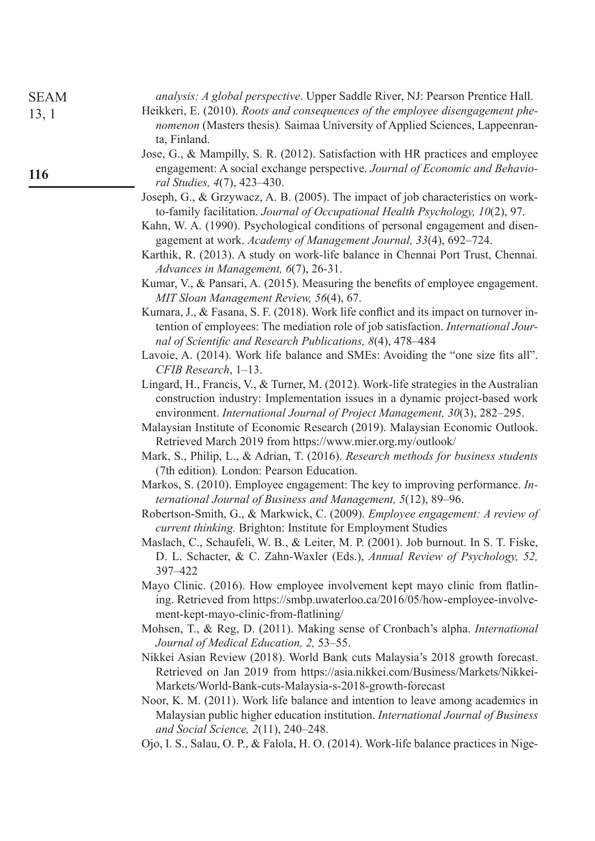| <b>SEAM</b> | analysis: A global perspective. Upper Saddle River, NJ: Pearson Prentice Hall.                                                                                                                                                                                                                                                                                                                                                             |
|-------------|--------------------------------------------------------------------------------------------------------------------------------------------------------------------------------------------------------------------------------------------------------------------------------------------------------------------------------------------------------------------------------------------------------------------------------------------|
| 13, 1       | Heikkeri, E. (2010). Roots and consequences of the employee disengagement phe-<br>nomenon (Masters thesis). Saimaa University of Applied Sciences, Lappeenran-<br>ta, Finland.                                                                                                                                                                                                                                                             |
| 116         | Jose, G., & Mampilly, S. R. (2012). Satisfaction with HR practices and employee<br>engagement: A social exchange perspective. Journal of Economic and Behavio-                                                                                                                                                                                                                                                                             |
|             | ral Studies, 4(7), 423-430.<br>Joseph, G., & Grzywacz, A. B. (2005). The impact of job characteristics on work-<br>to-family facilitation. Journal of Occupational Health Psychology, 10(2), 97.<br>Kahn, W. A. (1990). Psychological conditions of personal engagement and disen-<br>gagement at work. Academy of Management Journal, 33(4), 692-724.<br>Karthik, R. (2013). A study on work-life balance in Chennai Port Trust, Chennai. |
|             | Advances in Management, 6(7), 26-31.<br>Kumar, V., & Pansari, A. (2015). Measuring the benefits of employee engagement.<br>MIT Sloan Management Review, 56(4), 67.                                                                                                                                                                                                                                                                         |
|             | Kumara, J., & Fasana, S. F. (2018). Work life conflict and its impact on turnover in-<br>tention of employees: The mediation role of job satisfaction. International Jour-<br>nal of Scientific and Research Publications, 8(4), 478–484                                                                                                                                                                                                   |
|             | Lavoie, A. (2014). Work life balance and SMEs: Avoiding the "one size fits all".<br>CFIB Research, 1-13.                                                                                                                                                                                                                                                                                                                                   |
|             | Lingard, H., Francis, V., & Turner, M. (2012). Work-life strategies in the Australian<br>construction industry: Implementation issues in a dynamic project-based work<br>environment. International Journal of Project Management, 30(3), 282–295.                                                                                                                                                                                         |
|             | Malaysian Institute of Economic Research (2019). Malaysian Economic Outlook.<br>Retrieved March 2019 from https://www.mier.org.my/outlook/                                                                                                                                                                                                                                                                                                 |
|             | Mark, S., Philip, L., & Adrian, T. (2016). Research methods for business students<br>(7th edition). London: Pearson Education.                                                                                                                                                                                                                                                                                                             |
|             | Markos, S. (2010). Employee engagement: The key to improving performance. In-<br>ternational Journal of Business and Management, 5(12), 89–96.                                                                                                                                                                                                                                                                                             |
|             | Robertson-Smith, G., & Markwick, C. (2009). Employee engagement: A review of<br><i>current thinking.</i> Brighton: Institute for Employment Studies                                                                                                                                                                                                                                                                                        |
|             | Maslach, C., Schaufeli, W. B., & Leiter, M. P. (2001). Job burnout. In S. T. Fiske,<br>D. L. Schacter, & C. Zahn-Waxler (Eds.), Annual Review of Psychology, 52,<br>397-422                                                                                                                                                                                                                                                                |
|             | Mayo Clinic. (2016). How employee involvement kept mayo clinic from flatlin-<br>ing. Retrieved from https://smbp.uwaterloo.ca/2016/05/how-employee-involve-<br>ment-kept-mayo-clinic-from-flatlining/                                                                                                                                                                                                                                      |
|             | Mohsen, T., & Reg, D. (2011). Making sense of Cronbach's alpha. International<br>Journal of Medical Education, 2, 53–55.                                                                                                                                                                                                                                                                                                                   |
|             | Nikkei Asian Review (2018). World Bank cuts Malaysia's 2018 growth forecast.<br>Retrieved on Jan 2019 from https://asia.nikkei.com/Business/Markets/Nikkei-<br>Markets/World-Bank-cuts-Malaysia-s-2018-growth-forecast                                                                                                                                                                                                                     |
|             | Noor, K. M. (2011). Work life balance and intention to leave among academics in<br>Malaysian public higher education institution. International Journal of Business<br>and Social Science, $2(11)$ , $240-248$ .                                                                                                                                                                                                                           |
|             | Ojo, I. S., Salau, O. P., & Falola, H. O. (2014). Work-life balance practices in Nige-                                                                                                                                                                                                                                                                                                                                                     |